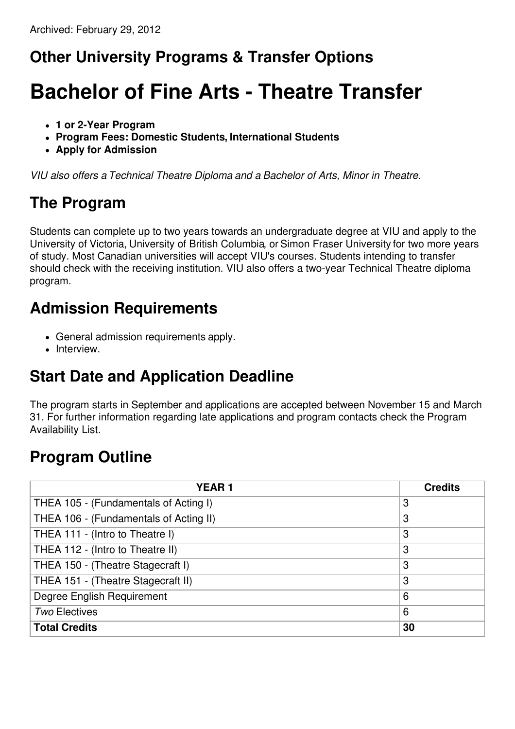# **Other University Programs & Transfer Options**

# **Bachelor of Fine Arts - Theatre Transfer**

- **1 or 2-Year Program**
- **Program Fees: Domestic Students, International Students**
- **Apply for Admission**

*VIU also offers a Technical Theatre Diploma and a Bachelor of Arts, Minor in Theatre.*

## **The Program**

Students can complete up to two years towards an undergraduate degree at VIU and apply to the University of Victoria, University of British Columbia, or Simon Fraser University for two more years of study. Most Canadian universities will accept VIU's courses. Students intending to transfer should check with the receiving institution. VIU also offers a two-year Technical Theatre diploma program.

#### **Admission Requirements**

- General admission requirements apply.
- Interview.

# **Start Date and Application Deadline**

The program starts in September and applications are accepted between November 15 and March 31. For further information regarding late applications and program contacts check the Program Availability List.

## **Program Outline**

| <b>YEAR1</b>                           | <b>Credits</b> |
|----------------------------------------|----------------|
| THEA 105 - (Fundamentals of Acting I)  | 3              |
| THEA 106 - (Fundamentals of Acting II) | 3              |
| THEA 111 - (Intro to Theatre I)        | 3              |
| THEA 112 - (Intro to Theatre II)       | 3              |
| THEA 150 - (Theatre Stagecraft I)      | 3              |
| THEA 151 - (Theatre Stagecraft II)     | 3              |
| Degree English Requirement             | 6              |
| <b>Two Electives</b>                   | 6              |
| <b>Total Credits</b>                   | 30             |